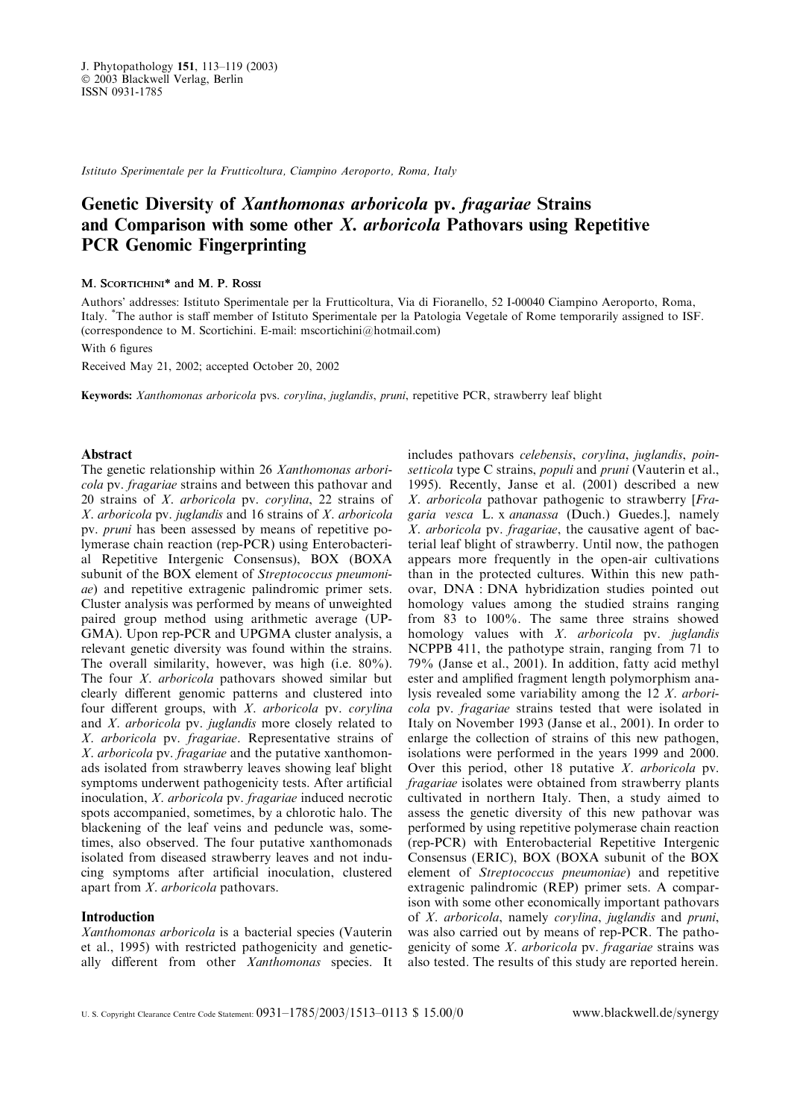Istituto Sperimentale per la Frutticoltura, Ciampino Aeroporto, Roma, Italy

# Genetic Diversity of Xanthomonas arboricola pv. fragariae Strains and Comparison with some other  $X$ . arboricola Pathovars using Repetitive PCR Genomic Fingerprinting

# M. SCORTICHINI\* and M. P. ROSSI

Authors' addresses: Istituto Sperimentale per la Frutticoltura, Via di Fioranello, 52 I-00040 Ciampino Aeroporto, Roma, Italy. <sup>\*</sup>The author is staff member of Istituto Sperimentale per la Patologia Vegetale of Rome temporarily assigned to ISF. (correspondence to M. Scortichini. E-mail: mscortichini@hotmail.com)

With 6 figures

Received May21, 2002; accepted October 20, 2002

Keywords: Xanthomonas arboricola pvs. corylina, juglandis, pruni, repetitive PCR, strawberryleaf blight

## Abstract

The genetic relationship within 26 *Xanthomonas arbori*cola pv. fragariae strains and between this pathovar and 20 strains of X. arboricola pv. corylina, 22 strains of X. arboricola pv. juglandis and 16 strains of X. arboricola pv. *pruni* has been assessed by means of repetitive polymerase chain reaction (rep-PCR) using Enterobacterial Repetitive Intergenic Consensus), BOX (BOXA subunit of the BOX element of Streptococcus pneumoniae) and repetitive extragenic palindromic primer sets. Cluster analysis was performed by means of unweighted paired group method using arithmetic average (UP-GMA). Upon rep-PCR and UPGMA cluster analysis, a relevant genetic diversity was found within the strains. The overall similarity, however, was high (i.e. 80%). The four X. arboricola pathovars showed similar but clearly different genomic patterns and clustered into four different groups, with *X. arboricola* pv. *corylina* and  $X$ . arboricola pv. juglandis more closely related to X. arboricola pv. fragariae. Representative strains of X. arboricola pv. fragariae and the putative xanthomonads isolated from strawberryleaves showing leaf blight symptoms underwent pathogenicity tests. After artificial inoculation, X. arboricola pv. fragariae induced necrotic spots accompanied, sometimes, bya chlorotic halo. The blackening of the leaf veins and peduncle was, sometimes, also observed. The four putative xanthomonads isolated from diseased strawberry leaves and not inducing symptoms after artificial inoculation, clustered apart from X. arboricola pathovars.

# Introduction

Xanthomonas arboricola is a bacterial species (Vauterin et al., 1995) with restricted pathogenicityand genetically different from other Xanthomonas species. It includes pathovars celebensis, corylina, juglandis, poinsetticola type C strains, populi and pruni (Vauterin et al., 1995). Recently, Janse et al. (2001) described a new X. arboricola pathovar pathogenic to strawberry [Fragaria vesca L. x ananassa (Duch.) Guedes.], namely X. arboricola pv. fragariae, the causative agent of bacterial leaf blight of strawberry. Until now, the pathogen appears more frequently in the open-air cultivations than in the protected cultures. Within this new pathovar, DNA : DNA hybridization studies pointed out homology values among the studied strains ranging from 83 to 100%. The same three strains showed homology values with  $X$ . arboricola pv. juglandis NCPPB 411, the pathotype strain, ranging from 71 to 79% (Janse et al., 2001). In addition, fattyacid methyl ester and amplified fragment length polymorphism analysis revealed some variability among the 12 X. arboricola pv. fragariae strains tested that were isolated in Italyon November 1993 (Janse et al., 2001). In order to enlarge the collection of strains of this new pathogen, isolations were performed in the years 1999 and 2000. Over this period, other 18 putative X. arboricola pv. fragariae isolates were obtained from strawberry plants cultivated in northern Italy. Then, a study aimed to assess the genetic diversityof this new pathovar was performed byusing repetitive polymerase chain reaction (rep-PCR) with Enterobacterial Repetitive Intergenic Consensus (ERIC), BOX (BOXA subunit of the BOX element of Streptococcus pneumoniae) and repetitive extragenic palindromic (REP) primer sets. A comparison with some other economically important pathovars of X. arboricola, namely corylina, juglandis and pruni, was also carried out by means of rep-PCR. The pathogenicity of some  $X$ . arboricola pv. fragariae strains was also tested. The results of this studyare reported herein.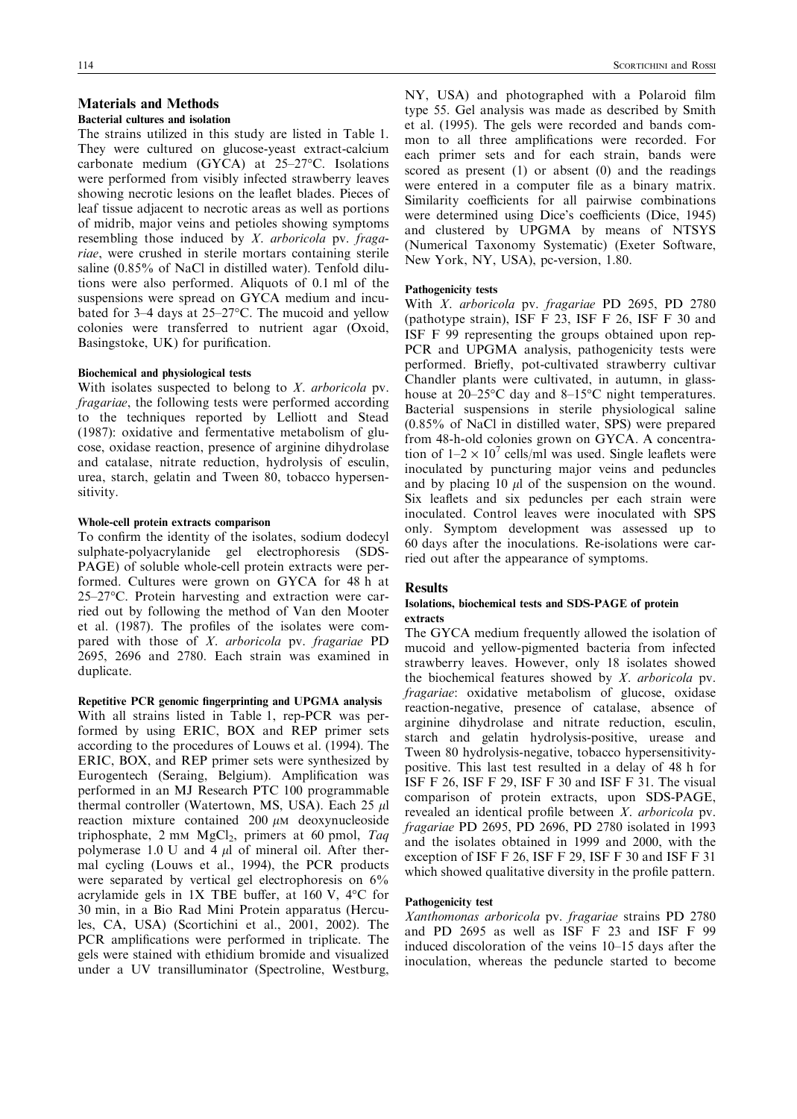# Materials and Methods

## Bacterial cultures and isolation

The strains utilized in this studyare listed in Table 1. They were cultured on glucose-yeast extract-calcium carbonate medium (GYCA) at  $25-27$ °C. Isolations were performed from visibly infected strawberry leaves showing necrotic lesions on the leaflet blades. Pieces of leaf tissue adjacent to necrotic areas as well as portions of midrib, major veins and petioles showing symptoms resembling those induced by X. arboricola pv. fragariae, were crushed in sterile mortars containing sterile saline (0.85% of NaCl in distilled water). Tenfold dilutions were also performed. Aliquots of 0.1 ml of the suspensions were spread on GYCA medium and incubated for  $3-4$  days at  $25-27$ °C. The mucoid and yellow colonies were transferred to nutrient agar (Oxoid, Basingstoke, UK) for purification.

# Biochemical and physiological tests

With isolates suspected to belong to  $X$ . arboricola pv. fragariae, the following tests were performed according to the techniques reported by Lelliott and Stead (1987): oxidative and fermentative metabolism of glucose, oxidase reaction, presence of arginine dihydrolase and catalase, nitrate reduction, hydrolysis of esculin, urea, starch, gelatin and Tween 80, tobacco hypersensitivity.

#### Whole-cell protein extracts comparison

To confirm the identityof the isolates, sodium dodecyl sulphate-polyacrylanide gel electrophoresis (SDS-PAGE) of soluble whole-cell protein extracts were performed. Cultures were grown on GYCA for 48 h at 25–27 °C. Protein harvesting and extraction were carried out by following the method of Van den Mooter et al. (1987). The profiles of the isolates were compared with those of X. arboricola pv. fragariae PD 2695, 2696 and 2780. Each strain was examined in duplicate.

# Repetitive PCR genomic fingerprinting and UPGMA analysis

With all strains listed in Table 1, rep-PCR was performed by using ERIC, BOX and REP primer sets according to the procedures of Louws et al. (1994). The ERIC, BOX, and REP primer sets were synthesized by Eurogentech (Seraing, Belgium). Amplification was performed in an MJ Research PTC 100 programmable thermal controller (Watertown, MS, USA). Each  $25 \mu$ l reaction mixture contained  $200 \mu$ M deoxynucleoside triphosphate,  $2 \text{ mm } \text{MgCl}_2$ , primers at 60 pmol, Taq polymerase 1.0 U and 4  $\mu$ l of mineral oil. After thermal cycling (Louws et al., 1994), the PCR products were separated by vertical gel electrophoresis on 6% acrylamide gels in 1X TBE buffer, at 160 V,  $4^{\circ}$ C for 30 min, in a Bio Rad Mini Protein apparatus (Hercules, CA, USA) (Scortichini et al., 2001, 2002). The PCR amplifications were performed in triplicate. The gels were stained with ethidium bromide and visualized under a UV transilluminator (Spectroline, Westburg,

NY, USA) and photographed with a Polaroid film type 55. Gel analysis was made as described by Smith et al. (1995). The gels were recorded and bands common to all three amplifications were recorded. For each primer sets and for each strain, bands were scored as present (1) or absent (0) and the readings were entered in a computer file as a binary matrix. Similarity coefficients for all pairwise combinations were determined using Dice's coefficients (Dice, 1945) and clustered by UPGMA by means of NTSYS (Numerical Taxonomy Systematic) (Exeter Software, New York, NY, USA), pc-version, 1.80.

#### Pathogenicity tests

With X. arboricola pv. fragariae PD 2695, PD 2780 (pathotype strain), ISF F 23, ISF F 26, ISF F 30 and ISF F 99 representing the groups obtained upon rep-PCR and UPGMA analysis, pathogenicity tests were performed. Briefly, pot-cultivated strawberry cultivar Chandler plants were cultivated, in autumn, in glasshouse at  $20-25^{\circ}$ C day and  $8-15^{\circ}$ C night temperatures. Bacterial suspensions in sterile physiological saline (0.85% of NaCl in distilled water, SPS) were prepared from 48-h-old colonies grown on GYCA. A concentration of  $1-2 \times 10^7$  cells/ml was used. Single leaflets were inoculated by puncturing major veins and peduncles and by placing 10  $\mu$ l of the suspension on the wound. Six leaflets and six peduncles per each strain were inoculated. Control leaves were inoculated with SPS only. Symptom development was assessed up to 60 days after the inoculations. Re-isolations were carried out after the appearance of symptoms.

# Results

## Isolations, biochemical tests and SDS-PAGE of protein extracts

The GYCA medium frequently allowed the isolation of mucoid and yellow-pigmented bacteria from infected strawberry leaves. However, only 18 isolates showed the biochemical features showed by X. arboricola pv. fragariae: oxidative metabolism of glucose, oxidase reaction-negative, presence of catalase, absence of arginine dihydrolase and nitrate reduction, esculin, starch and gelatin hydrolysis-positive, urease and Tween 80 hydrolysis-negative, tobacco hypersensitivitypositive. This last test resulted in a delayof 48 h for ISF F 26, ISF F 29, ISF F 30 and ISF F 31. The visual comparison of protein extracts, upon SDS-PAGE, revealed an identical profile between X. arboricola pv. fragariae PD 2695, PD 2696, PD 2780 isolated in 1993 and the isolates obtained in 1999 and 2000, with the exception of ISF F 26, ISF F 29, ISF F 30 and ISF F 31 which showed qualitative diversity in the profile pattern.

## Pathogenicity test

Xanthomonas arboricola pv. fragariae strains PD 2780 and PD 2695 as well as ISF F 23 and ISF F 99 induced discoloration of the veins 10–15 days after the inoculation, whereas the peduncle started to become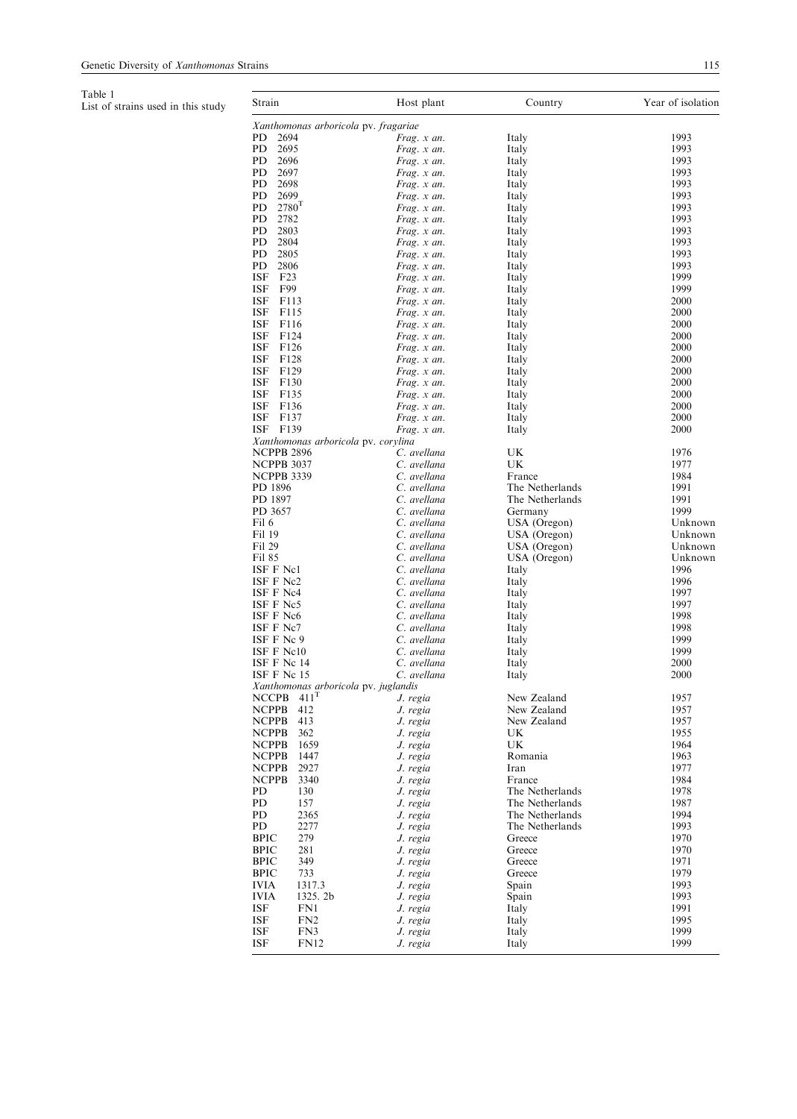| Table 1<br>List of strains used in this study | Strain                                                      | Host plant                 | Country         | Year of isolation |  |  |
|-----------------------------------------------|-------------------------------------------------------------|----------------------------|-----------------|-------------------|--|--|
|                                               | Xanthomonas arboricola pv. fragariae                        |                            |                 |                   |  |  |
|                                               | PD<br>2694                                                  | Frag. x an.                | Italy           | 1993              |  |  |
|                                               | PD<br>2695                                                  | Frag. x an.                | Italy           | 1993              |  |  |
|                                               | PD<br>2696                                                  | Frag. x an.                | Italy           | 1993              |  |  |
|                                               | PD<br>2697                                                  | Frag. x an.                | Italy           | 1993              |  |  |
|                                               | PD<br>2698                                                  | Frag. x an.                | Italy           | 1993              |  |  |
|                                               | PD<br>2699                                                  | Frag. x an.                | Italy           | 1993              |  |  |
|                                               | $2780^{\mathrm{T}}$<br>PD                                   | Frag. x an.                | Italy           | 1993              |  |  |
|                                               | PD<br>2782                                                  | Frag. x an.                | Italy           | 1993              |  |  |
|                                               | 2803<br>PD                                                  | Frag. x an.                | Italy           | 1993              |  |  |
|                                               | PD<br>2804                                                  | Frag. x an.                | Italy           | 1993              |  |  |
|                                               | PD<br>2805                                                  | Frag. x an.                | Italy           | 1993              |  |  |
|                                               | PD<br>2806                                                  | Frag. x an.                | Italy           | 1993              |  |  |
|                                               | ISF F23                                                     | Frag. x an.                | Italy           | 1999              |  |  |
|                                               | F99<br>ISF<br>ISF<br>F113                                   | Frag. x an.                | Italy           | 1999<br>2000      |  |  |
|                                               | ISF<br>F115                                                 | Frag. x an.                | Italy           | 2000              |  |  |
|                                               | ISF F116                                                    | Frag. x an.                | Italy           | 2000              |  |  |
|                                               | ISF F124                                                    | Frag. x an.                | Italy           | 2000              |  |  |
|                                               | ISF<br>F126                                                 | Frag. x an.<br>Frag. x an. | Italy<br>Italy  | 2000              |  |  |
|                                               | ISF F128                                                    | Frag. x an.                | Italy           | 2000              |  |  |
|                                               | ISF F129                                                    | Frag. x an.                | Italy           | 2000              |  |  |
|                                               | ISF<br>F130                                                 | Frag. x an.                | Italy           | 2000              |  |  |
|                                               | <b>ISF</b><br>F135                                          | Frag. x an.                | Italy           | 2000              |  |  |
|                                               | ISF<br>F136                                                 | Frag. x an.                | Italy           | 2000              |  |  |
|                                               | ISF F137                                                    | Frag. x an.                | Italy           | 2000              |  |  |
|                                               | ISF F139                                                    |                            |                 | 2000              |  |  |
|                                               | Frag. x an.<br>Italy<br>Xanthomonas arboricola pv. corylina |                            |                 |                   |  |  |
|                                               | <b>NCPPB 2896</b>                                           | C. avellana                | UK              | 1976              |  |  |
|                                               | <b>NCPPB 3037</b>                                           | C. avellana                | UK              | 1977              |  |  |
|                                               | <b>NCPPB 3339</b>                                           | C. avellana                | France          | 1984              |  |  |
|                                               | PD 1896                                                     | C. avellana                | The Netherlands | 1991              |  |  |
|                                               | PD 1897                                                     | C. avellana                | The Netherlands | 1991              |  |  |
|                                               | PD 3657                                                     | C. avellana                | Germany         | 1999              |  |  |
|                                               | Fil 6                                                       | C. avellana                | USA (Oregon)    | Unknown           |  |  |
|                                               | Fil 19                                                      | C. avellana                | USA (Oregon)    | Unknown           |  |  |
|                                               | Fil 29                                                      | C. avellana                | USA (Oregon)    | Unknown           |  |  |
|                                               | Fil 85                                                      | C. avellana                | USA (Oregon)    | Unknown           |  |  |
|                                               | ISF F Ncl                                                   | C. avellana                | Italy           | 1996              |  |  |
|                                               | ISF F Nc2                                                   | C. avellana                | Italy           | 1996              |  |  |
|                                               | ISF F Nc4                                                   | C. avellana                | Italy           | 1997              |  |  |
|                                               | ISF F Nc5                                                   | C. avellana                | Italy           | 1997              |  |  |
|                                               | ISF F Nc6                                                   | C. avellana                | Italy           | 1998              |  |  |
|                                               | ISF F Nc7                                                   | C. avellana                | Italy           | 1998              |  |  |
|                                               | ISF F Nc 9                                                  | C. avellana                | Italy           | 1999              |  |  |
|                                               | ISF F Nc10                                                  | C. avellana                | Italy           | 1999              |  |  |
|                                               | ISF F Nc 14                                                 | C. avellana                | Italy           | 2000              |  |  |
|                                               | ISF F Nc 15                                                 | C. avellana                | Italy           | $2000\,$          |  |  |
|                                               | Xanthomonas arboricola pv. juglandis                        |                            |                 |                   |  |  |
|                                               | $411^T$<br><b>NCCPB</b>                                     | J. regia                   | New Zealand     | 1957              |  |  |
|                                               | <b>NCPPB</b><br>412                                         | J. regia                   | New Zealand     | 1957              |  |  |
|                                               | <b>NCPPB</b><br>413                                         | J. regia                   | New Zealand     | 1957              |  |  |
|                                               | <b>NCPPB</b><br>362                                         | J. regia                   | UK              | 1955              |  |  |
|                                               | <b>NCPPB</b><br>1659                                        | J. regia                   | UK              | 1964              |  |  |
|                                               | <b>NCPPB</b><br>1447                                        | J. regia                   | Romania         | 1963              |  |  |
|                                               | <b>NCPPB</b><br>2927                                        | J. regia                   | Iran            | 1977              |  |  |
|                                               | <b>NCPPB</b><br>3340                                        | J. regia                   | France          | 1984              |  |  |
|                                               | PD<br>130                                                   | J. regia                   | The Netherlands | 1978              |  |  |
|                                               | PD<br>157                                                   | J. regia                   | The Netherlands | 1987              |  |  |
|                                               | PD<br>2365                                                  | J. regia                   | The Netherlands | 1994              |  |  |
|                                               | PD<br>2277                                                  | J. regia                   | The Netherlands | 1993              |  |  |
|                                               | <b>BPIC</b><br>279                                          | J. regia                   | Greece          | 1970              |  |  |
|                                               | <b>BPIC</b><br>281                                          | J. regia                   | Greece          | 1970              |  |  |
|                                               | <b>BPIC</b><br>349                                          | J. regia                   | Greece          | 1971              |  |  |
|                                               | <b>BPIC</b><br>733                                          | J. regia                   | Greece          | 1979              |  |  |
|                                               | <b>IVIA</b><br>1317.3                                       | J. regia                   | Spain           | 1993              |  |  |
|                                               | 1325.2b<br><b>IVIA</b>                                      | J. regia                   | Spain           | 1993              |  |  |
|                                               | <b>ISF</b><br>FN1                                           | J. regia                   | Italy           | 1991              |  |  |
|                                               | <b>ISF</b><br>FN2                                           | J. regia                   | Italy           | 1995              |  |  |
|                                               | <b>ISF</b><br>FN3                                           | J. regia                   | Italy           | 1999              |  |  |
|                                               | <b>ISF</b><br><b>FN12</b>                                   | J. regia                   | Italy           | 1999              |  |  |
|                                               |                                                             |                            |                 |                   |  |  |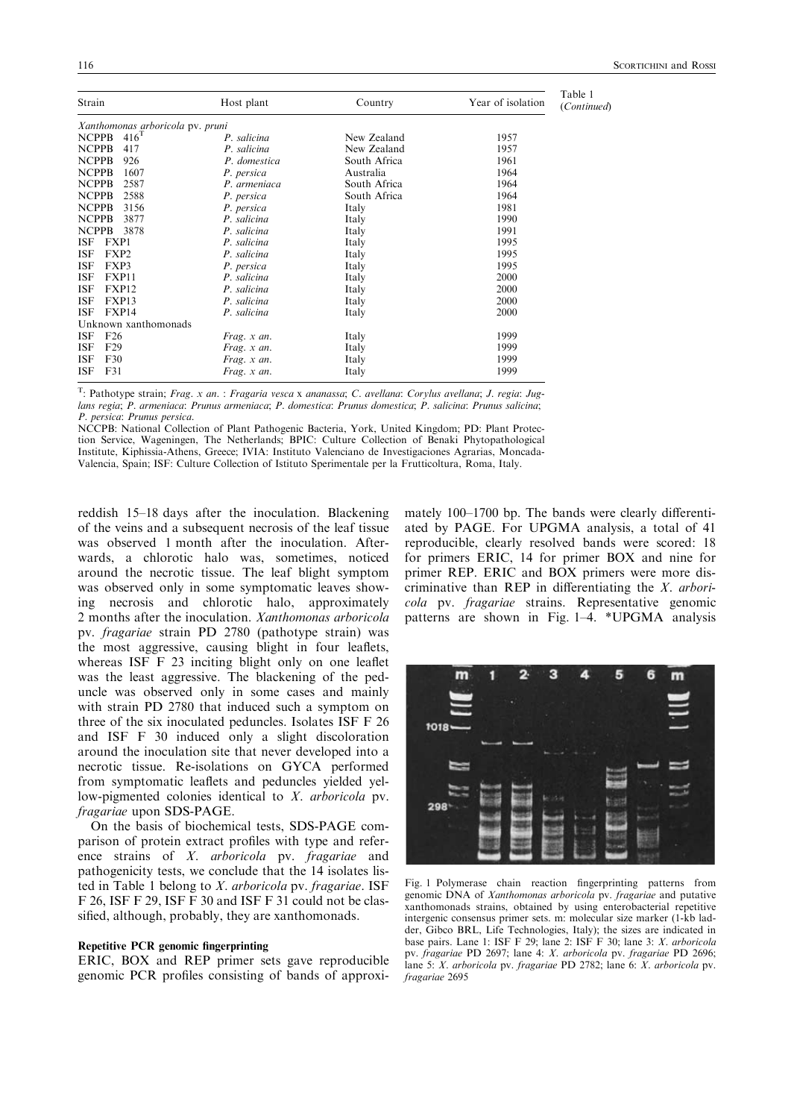| Strain                           | Host plant   | Country      | Year of isolation | Table 1<br>(Continued) |
|----------------------------------|--------------|--------------|-------------------|------------------------|
| Xanthomonas arboricola pv. pruni |              |              |                   |                        |
| 416 <sup>1</sup><br><b>NCPPB</b> | P. salicina  | New Zealand  | 1957              |                        |
| <b>NCPPB</b><br>417              | P. salicina  | New Zealand  | 1957              |                        |
| <b>NCPPB</b><br>926              | P. domestica | South Africa | 1961              |                        |
| <b>NCPPB</b><br>1607             | P. persica   | Australia    | 1964              |                        |
| <b>NCPPB</b><br>2587             | P. armeniaca | South Africa | 1964              |                        |
| <b>NCPPB</b><br>2588             | P. persica   | South Africa | 1964              |                        |
| <b>NCPPB</b><br>3156             | P. persica   | Italy        | 1981              |                        |
| <b>NCPPB</b><br>3877             | P. salicina  | Italy        | 1990              |                        |
| <b>NCPPB</b><br>3878             | P. salicina  | Italy        | 1991              |                        |
| ISF<br>FXP1                      | P. salicina  | Italy        | 1995              |                        |
| ISF<br>FXP <sub>2</sub>          | P. salicina  | Italy        | 1995              |                        |
| ISF<br>FXP3                      | P. persica   | Italy        | 1995              |                        |
| ISF<br><b>FXP11</b>              | P. salicina  | Italy        | 2000              |                        |
| ISF<br>FXP <sub>12</sub>         | P. salicina  | Italy        | 2000              |                        |
| ISF<br>FXP13                     | P. salicina  | Italy        | 2000              |                        |
| ISF<br>FXP <sub>14</sub>         | P. salicina  | Italy        | 2000              |                        |
| Unknown xanthomonads             |              |              |                   |                        |
| F26<br>ISF                       | Frag. x an.  | Italy        | 1999              |                        |
| ISF<br>F <sub>29</sub>           | Frag. x an.  | Italy        | 1999              |                        |
| ISF<br>F30                       | Frag. x an.  | Italy        | 1999              |                        |
| ISF<br>F31                       | Frag. x an.  | Italy        | 1999              |                        |

<sup>T</sup>: Pathotype strain; Frag. x an. : Fragaria vesca x ananassa; C. avellana: Corylus avellana; J. regia: Juglans regia; P. armeniaca: Prunus armeniaca; P. domestica: Prunus domestica; P. salicina: Prunus salicina; P. persica: Prunus persica.

NCCPB: National Collection of Plant Pathogenic Bacteria, York, United Kingdom; PD: Plant Protection Service, Wageningen, The Netherlands; BPIC: Culture Collection of Benaki Phytopathological Institute, Kiphissia-Athens, Greece; IVIA: Instituto Valenciano de Investigaciones Agrarias, Moncada-Valencia, Spain; ISF: Culture Collection of Istituto Sperimentale per la Frutticoltura, Roma, Italy.

reddish 15–18 days after the inoculation. Blackening of the veins and a subsequent necrosis of the leaf tissue was observed 1 month after the inoculation. Afterwards, a chlorotic halo was, sometimes, noticed around the necrotic tissue. The leaf blight symptom was observed only in some symptomatic leaves showing necrosis and chlorotic halo, approximately 2 months after the inoculation. Xanthomonas arboricola pv. fragariae strain PD 2780 (pathotype strain) was the most aggressive, causing blight in four leaflets, whereas ISF F 23 inciting blight only on one leaflet was the least aggressive. The blackening of the peduncle was observed only in some cases and mainly with strain PD 2780 that induced such a symptom on three of the six inoculated peduncles. Isolates ISF F 26 and ISF F 30 induced onlya slight discoloration around the inoculation site that never developed into a necrotic tissue. Re-isolations on GYCA performed from symptomatic leaflets and peduncles yielded yellow-pigmented colonies identical to X. arboricola pv. fragariae upon SDS-PAGE.

On the basis of biochemical tests, SDS-PAGE comparison of protein extract profiles with type and reference strains of X. arboricola pv. fragariae and pathogenicity tests, we conclude that the 14 isolates listed in Table 1 belong to X. arboricola pv. fragariae. ISF F 26, ISF F 29, ISF F 30 and ISF F 31 could not be classified, although, probably, they are xanthomonads.

#### Repetitive PCR genomic fingerprinting

ERIC, BOX and REP primer sets gave reproducible genomic PCR profiles consisting of bands of approximately 100–1700 bp. The bands were clearly differentiated byPAGE. For UPGMA analysis, a total of 41 reproducible, clearly resolved bands were scored: 18 for primers ERIC, 14 for primer BOX and nine for primer REP. ERIC and BOX primers were more discriminative than REP in differentiating the X. arboricola pv. fragariae strains. Representative genomic patterns are shown in Fig. 1–4. \*UPGMA analysis



Fig. 1 Polymerase chain reaction fingerprinting patterns from genomic DNA of Xanthomonas arboricola pv. fragariae and putative xanthomonads strains, obtained byusing enterobacterial repetitive intergenic consensus primer sets. m: molecular size marker (1-kb ladder, Gibco BRL, Life Technologies, Italy); the sizes are indicated in base pairs. Lane 1: ISF F 29; lane 2: ISF F 30; lane 3: X. arboricola pv. fragariae PD 2697; lane 4: X. arboricola pv. fragariae PD 2696; lane 5: X. arboricola pv. fragariae PD 2782; lane 6: X. arboricola pv. fragariae 2695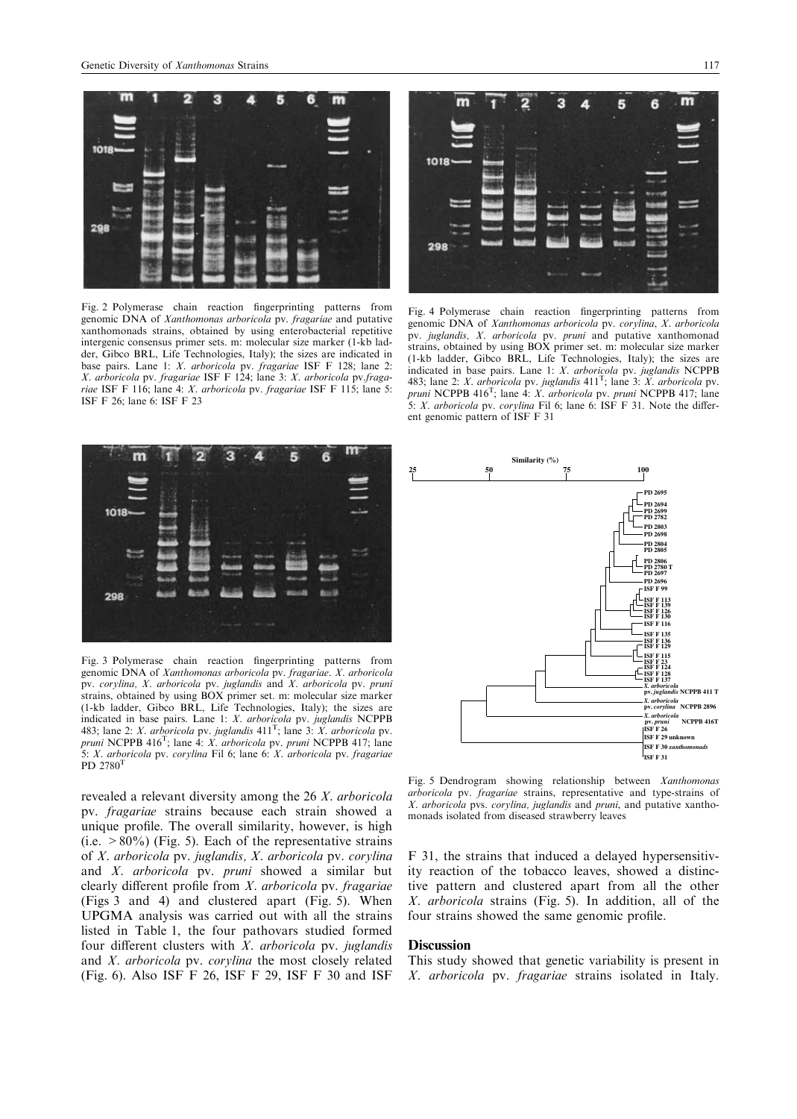

Fig. 2 Polymerase chain reaction fingerprinting patterns from genomic DNA of Xanthomonas arboricola pv. fragariae and putative xanthomonads strains, obtained byusing enterobacterial repetitive intergenic consensus primer sets. m: molecular size marker (1-kb ladder, Gibco BRL, Life Technologies, Italy); the sizes are indicated in base pairs. Lane 1: X. arboricola pv. fragariae ISF F 128; lane 2: X. arboricola pv. fragariae ISF F 124; lane 3: X. arboricola pv. fragariae ISF F 116; lane 4: X. arboricola pv. fragariae ISF F 115; lane 5: ISF F 26; lane 6: ISF F 23



Fig. 3 Polymerase chain reaction fingerprinting patterns from genomic DNA of Xanthomonas arboricola pv. fragariae. X. arboricola pv. corylina, X. arboricola pv. juglandis and X. arboricola pv. pruni strains, obtained by using BOX primer set. m: molecular size marker (1-kb ladder, Gibco BRL, Life Technologies, Italy); the sizes are indicated in base pairs. Lane 1: X. arboricola pv. juglandis NCPPB 483; lane 2: *X. arboricola* pv. *juglandis*  $411<sup>T</sup>$ ; lane 3: *X. arboricola* pv. pruni NCPPB 416<sup>T</sup>; lane 4: *X. arboricola* pv. *pruni* NCPPB 417; lane 5: X. arboricola pv. corylina Fil 6; lane 6: X. arboricola pv. fragariae PD 2780T

revealed a relevant diversity among the 26 X. arboricola pv. fragariae strains because each strain showed a unique profile. The overall similarity, however, is high (i.e.  $>80\%$ ) (Fig. 5). Each of the representative strains of X. arboricola pv. juglandis, X. arboricola pv. corylina and X. arboricola pv. pruni showed a similar but clearly different profile from  $X$ . arboricola pv. fragariae (Figs 3 and 4) and clustered apart (Fig. 5). When UPGMA analysis was carried out with all the strains listed in Table 1, the four pathovars studied formed four different clusters with  $X$ . arboricola pv. juglandis and  $X$ . arboricola pv. corylina the most closely related (Fig. 6). Also ISF F 26, ISF F 29, ISF F 30 and ISF



Fig. 4 Polymerase chain reaction fingerprinting patterns from genomic DNA of Xanthomonas arboricola pv. corylina, X. arboricola pv. juglandis, X. arboricola pv. pruni and putative xanthomonad strains, obtained by using  $BOX$  primer set. m: molecular size marker (1-kb ladder, Gibco BRL, Life Technologies, Italy); the sizes are indicated in base pairs. Lane 1: X. arboricola pv. juglandis NCPPB 483; lane 2: *X. arboricola* pv. *juglandis*  $411<sup>T</sup>$ ; lane 3: *X. arboricola* pv. *pruni* NCPPB 416<sup>T</sup>; lane 4: *X. arboricola* pv. *pruni* NCPPB 417; lane 5: X. arboricola pv. corylina Fil 6; lane 6: ISF F 31. Note the different genomic pattern of ISF F 31



Fig. 5 Dendrogram showing relationship between Xanthomonas arboricola pv. fragariae strains, representative and type-strains of X. arboricola pvs. corylina, juglandis and pruni, and putative xanthomonads isolated from diseased strawberry leaves

F 31, the strains that induced a delayed hypersensitivity reaction of the tobacco leaves, showed a distinctive pattern and clustered apart from all the other X. arboricola strains (Fig. 5). In addition, all of the four strains showed the same genomic profile.

## Discussion

This study showed that genetic variability is present in X. arboricola pv. fragariae strains isolated in Italy.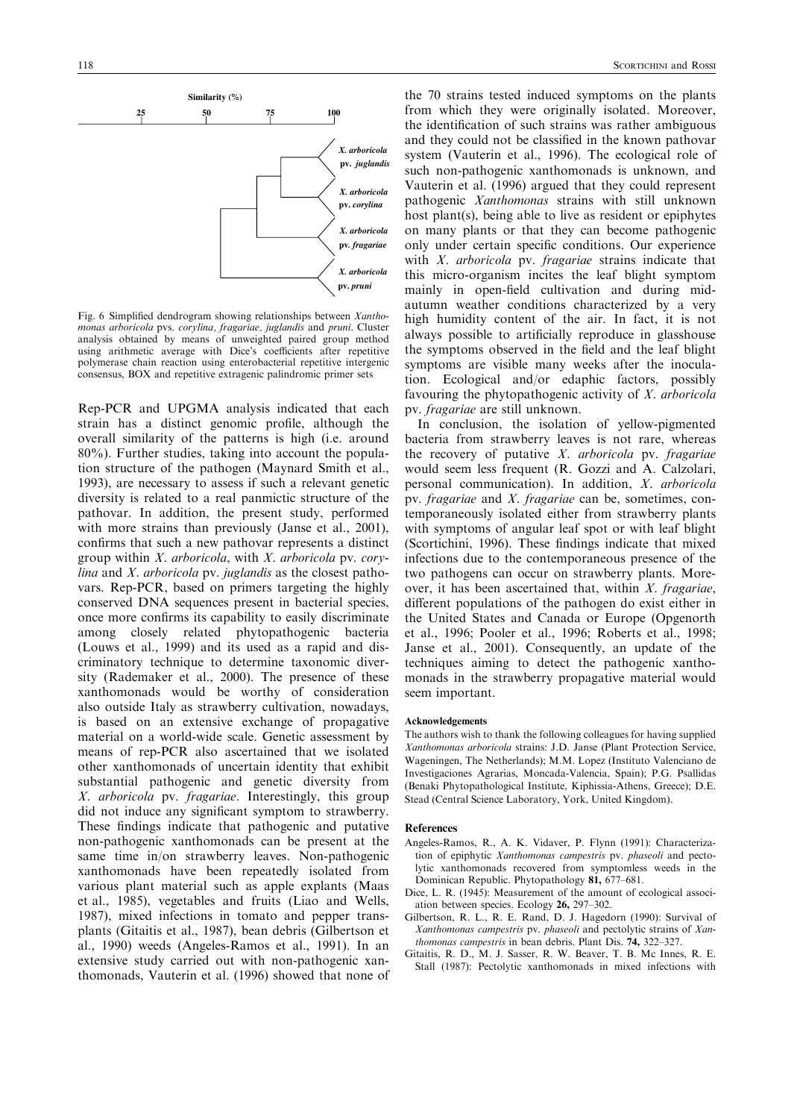

Fig. 6 Simplified dendrogram showing relationships between Xanthomonas arboricola pvs. corylina, fragariae, juglandis and pruni. Cluster analysis obtained by means of unweighted paired group method using arithmetic average with Dice's coefficients after repetitive polymerase chain reaction using enterobacterial repetitive intergenic consensus, BOX and repetitive extragenic palindromic primer sets

Rep-PCR and UPGMA analysis indicated that each strain has a distinct genomic profile, although the overall similarity of the patterns is high (i.e. around 80%). Further studies, taking into account the population structure of the pathogen (Maynard Smith et al., 1993), are necessary to assess if such a relevant genetic diversity is related to a real panmictic structure of the pathovar. In addition, the present study, performed with more strains than previously (Janse et al., 2001), confirms that such a new pathovar represents a distinct group within X. arboricola, with X. arboricola pv. corylina and X. arboricola pv. juglandis as the closest pathovars. Rep-PCR, based on primers targeting the highly conserved DNA sequences present in bacterial species, once more confirms its capability to easily discriminate among closely related phytopathogenic bacteria (Louws et al., 1999) and its used as a rapid and discriminatory technique to determine taxonomic diversity (Rademaker et al., 2000). The presence of these xanthomonads would be worthy of consideration also outside Italy as strawberry cultivation, nowadays, is based on an extensive exchange of propagative material on a world-wide scale. Genetic assessment by means of rep-PCR also ascertained that we isolated other xanthomonads of uncertain identity that exhibit substantial pathogenic and genetic diversity from X. arboricola pv. fragariae. Interestingly, this group did not induce any significant symptom to strawberry. These findings indicate that pathogenic and putative non-pathogenic xanthomonads can be present at the same time in/on strawberry leaves. Non-pathogenic xanthomonads have been repeatedly isolated from various plant material such as apple explants (Maas et al., 1985), vegetables and fruits (Liao and Wells, 1987), mixed infections in tomato and pepper transplants (Gitaitis et al., 1987), bean debris (Gilbertson et al., 1990) weeds (Angeles-Ramos et al., 1991). In an extensive study carried out with non-pathogenic xanthomonads, Vauterin et al. (1996) showed that none of

the 70 strains tested induced symptoms on the plants from which they were originally isolated. Moreover, the identification of such strains was rather ambiguous and theycould not be classified in the known pathovar system (Vauterin et al., 1996). The ecological role of such non-pathogenic xanthomonads is unknown, and Vauterin et al. (1996) argued that they could represent pathogenic Xanthomonas strains with still unknown host plant(s), being able to live as resident or epiphytes on many plants or that they can become pathogenic only under certain specific conditions. Our experience with *X. arboricola* pv. *fragariae* strains indicate that this micro-organism incites the leaf blight symptom mainly in open-field cultivation and during midautumn weather conditions characterized by a very high humidity content of the air. In fact, it is not always possible to artificially reproduce in glasshouse the symptoms observed in the field and the leaf blight symptoms are visible many weeks after the inoculation. Ecological and/or edaphic factors, possibly favouring the phytopathogenic activity of X. arboricola pv. fragariae are still unknown.

In conclusion, the isolation of yellow-pigmented bacteria from strawberry leaves is not rare, whereas the recovery of putative  $X$ . arboricola pv. fragariae would seem less frequent (R. Gozzi and A. Calzolari, personal communication). In addition, X. arboricola pv. fragariae and X. fragariae can be, sometimes, contemporaneously isolated either from strawberry plants with symptoms of angular leaf spot or with leaf blight (Scortichini, 1996). These findings indicate that mixed infections due to the contemporaneous presence of the two pathogens can occur on strawberry plants. Moreover, it has been ascertained that, within  $X$ . fragariae, different populations of the pathogen do exist either in the United States and Canada or Europe (Opgenorth et al., 1996; Pooler et al., 1996; Roberts et al., 1998; Janse et al., 2001). Consequently, an update of the techniques aiming to detect the pathogenic xanthomonads in the strawberry propagative material would seem important.

#### Acknowledgements

The authors wish to thank the following colleagues for having supplied Xanthomonas arboricola strains: J.D. Janse (Plant Protection Service, Wageningen, The Netherlands); M.M. Lopez (Instituto Valenciano de Investigaciones Agrarias, Moncada-Valencia, Spain); P.G. Psallidas (Benaki Phytopathological Institute, Kiphissia-Athens, Greece); D.E. Stead (Central Science Laboratory, York, United Kingdom).

#### References

- Angeles-Ramos, R., A. K. Vidaver, P. Flynn (1991): Characterization of epiphytic Xanthomonas campestris pv. phaseoli and pectolytic xanthomonads recovered from symptomless weeds in the Dominican Republic. Phytopathology 81, 677–681.
- Dice, L. R. (1945): Measurement of the amount of ecological association between species. Ecology 26, 297–302.
- Gilbertson, R. L., R. E. Rand, D. J. Hagedorn (1990): Survival of Xanthomonas campestris pv. phaseoli and pectolytic strains of Xanthomonas campestris in bean debris. Plant Dis. 74, 322–327.
- Gitaitis, R. D., M. J. Sasser, R. W. Beaver, T. B. Mc Innes, R. E. Stall (1987): Pectolytic xanthomonads in mixed infections with